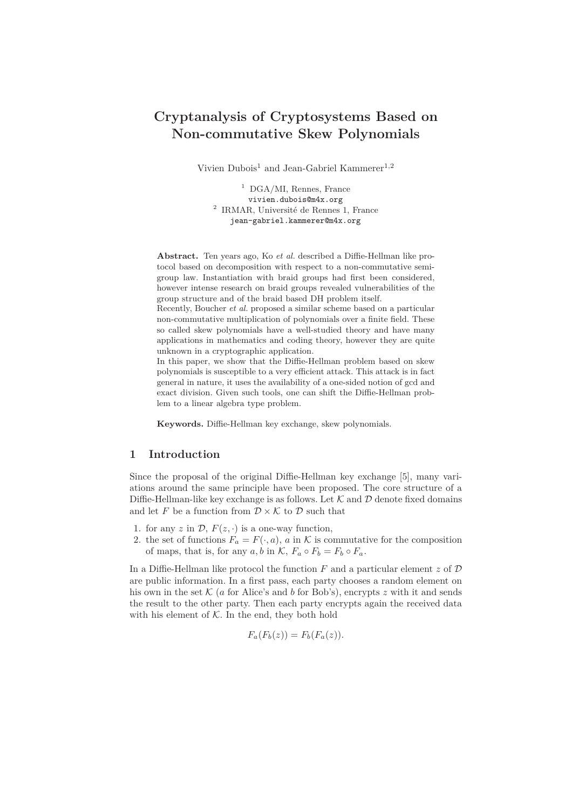# **Cryptanalysis of Cryptosystems Based on Non-commutative Skew Polynomials**

Vivien Dubois<sup>1</sup> and Jean-Gabriel Kammerer<sup>1,2</sup>

<sup>1</sup> DGA/MI, Rennes, France vivien.dubois@m4x.org 2 IRMAR, Université de Rennes 1, France jean-gabriel.kammerer@m4x.org

**Abstract.** Ten years ago, Ko *et al.* described a Diffie-Hellman like protocol based on decomposition with respect to a non-commutative semigroup law. Instantiation with braid groups had first been considered, however intense research on braid groups revealed vulnerabilities of the group structure and of the braid based DH problem itself.

Recently, Boucher *et al.* proposed a similar scheme based on a particular non-commutative multiplication of polynomials over a finite field. These so called skew polynomials have a well-studied theory and have many applications in mathematics and coding theory, however they are quite unknown in a cryptographic application.

In this paper, we show that the Diffie-Hellman problem based on skew polynomials is susceptible to a very efficient attack. This attack is in fact general in nature, it uses the availability of a one-sided notion of gcd and exact division. Given such tools, one can shift the Diffie-Hellman problem to a linear algebra type problem.

**Keywords.** Diffie-Hellman key exchange, skew polynomials.

# **1 Introduction**

Since the proposal of the original Diffie-Hellman key exchange [5], many variations around the same principle have been proposed. The core structure of a Diffie-Hellman-like key exchange is as follows. Let  $K$  and  $D$  denote fixed domains and let *F* be a function from  $\mathcal{D} \times \mathcal{K}$  to  $\mathcal{D}$  such that

- 1. for any *z* in  $\mathcal{D}, F(z, \cdot)$  is a one-way function,
- 2. the set of functions  $F_a = F(\cdot, a)$ , *a* in *K* is commutative for the composition of maps, that is, for any  $a, b$  in  $K$ ,  $F_a \circ F_b = F_b \circ F_a$ .

In a Diffie-Hellman like protocol the function  $F$  and a particular element  $z$  of  $D$ are public information. In a first pass, each party chooses a random element on his own in the set  $K$  (*a* for Alice's and *b* for Bob's), encrypts *z* with it and sends the result to the other party. Then each party encrypts again the received data with his element of  $K$ . In the end, they both hold

$$
F_a(F_b(z)) = F_b(F_a(z)).
$$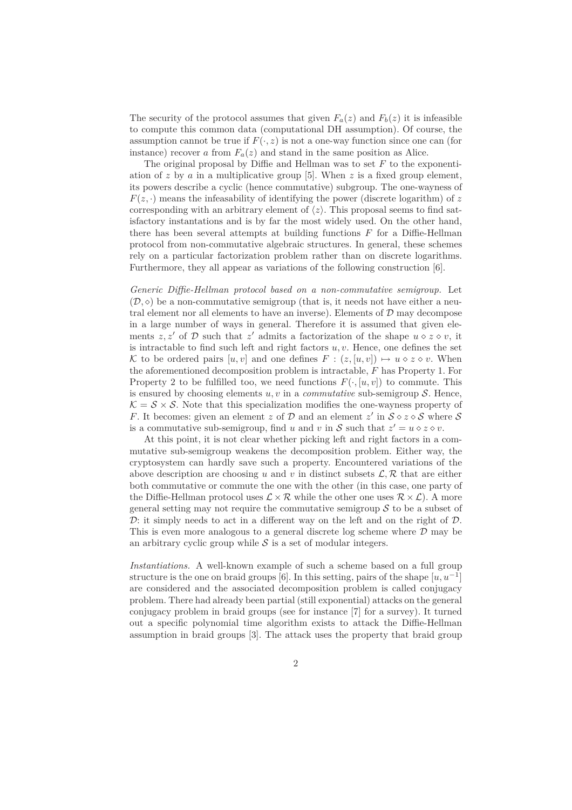The security of the protocol assumes that given  $F_a(z)$  and  $F_b(z)$  it is infeasible to compute this common data (computational DH assumption). Of course, the assumption cannot be true if  $F(\cdot, z)$  is not a one-way function since one can (for instance) recover *a* from  $F_a(z)$  and stand in the same position as Alice.

The original proposal by Diffie and Hellman was to set *F* to the exponentiation of  $z$  by  $\alpha$  in a multiplicative group [5]. When  $z$  is a fixed group element, its powers describe a cyclic (hence commutative) subgroup. The one-wayness of  $F(z, \cdot)$  means the infeasability of identifying the power (discrete logarithm) of z corresponding with an arbitrary element of  $\langle z \rangle$ . This proposal seems to find satisfactory instantations and is by far the most widely used. On the other hand, there has been several attempts at building functions  $F$  for a Diffie-Hellman protocol from non-commutative algebraic structures. In general, these schemes rely on a particular factorization problem rather than on discrete logarithms. Furthermore, they all appear as variations of the following construction [6].

*Generic Diffie-Hellman protocol based on a non-commutative semigroup.* Let  $(\mathcal{D}, \diamond)$  be a non-commutative semigroup (that is, it needs not have either a neutral element nor all elements to have an inverse). Elements of *D* may decompose in a large number of ways in general. Therefore it is assumed that given elements  $z, z'$  of  $D$  such that  $z'$  admits a factorization of the shape  $u \circ z \circ v$ , it is intractable to find such left and right factors *u, v*. Hence, one defines the set *K* to be ordered pairs  $[u, v]$  and one defines  $F : (z, [u, v]) \mapsto u \diamond z \diamond v$ . When the aforementioned decomposition problem is intractable, *F* has Property 1. For Property 2 to be fulfilled too, we need functions  $F(\cdot, [u, v])$  to commute. This is ensured by choosing elements  $u, v$  in a *commutative* sub-semigroup  $S$ . Hence,  $K = S \times S$ . Note that this specialization modifies the one-wayness property of *F*. It becomes: given an element *z* of *D* and an element *z'* in  $S \diamond z \diamond S$  where *S* is a commutative sub-semigroup, find *u* and *v* in *S* such that  $z' = u \diamond z \diamond v$ .

At this point, it is not clear whether picking left and right factors in a commutative sub-semigroup weakens the decomposition problem. Either way, the cryptosystem can hardly save such a property. Encountered variations of the above description are choosing *u* and *v* in distinct subsets  $\mathcal{L}, \mathcal{R}$  that are either both commutative or commute the one with the other (in this case, one party of the Diffie-Hellman protocol uses  $\mathcal{L} \times \mathcal{R}$  while the other one uses  $\mathcal{R} \times \mathcal{L}$ ). A more general setting may not require the commutative semigroup *S* to be a subset of *D*: it simply needs to act in a different way on the left and on the right of *D*. This is even more analogous to a general discrete log scheme where *D* may be an arbitrary cyclic group while  $S$  is a set of modular integers.

*Instantiations.* A well-known example of such a scheme based on a full group structure is the one on braid groups [6]. In this setting, pairs of the shape  $[u, u^{-1}]$ are considered and the associated decomposition problem is called conjugacy problem. There had already been partial (still exponential) attacks on the general conjugacy problem in braid groups (see for instance [7] for a survey). It turned out a specific polynomial time algorithm exists to attack the Diffie-Hellman assumption in braid groups [3]. The attack uses the property that braid group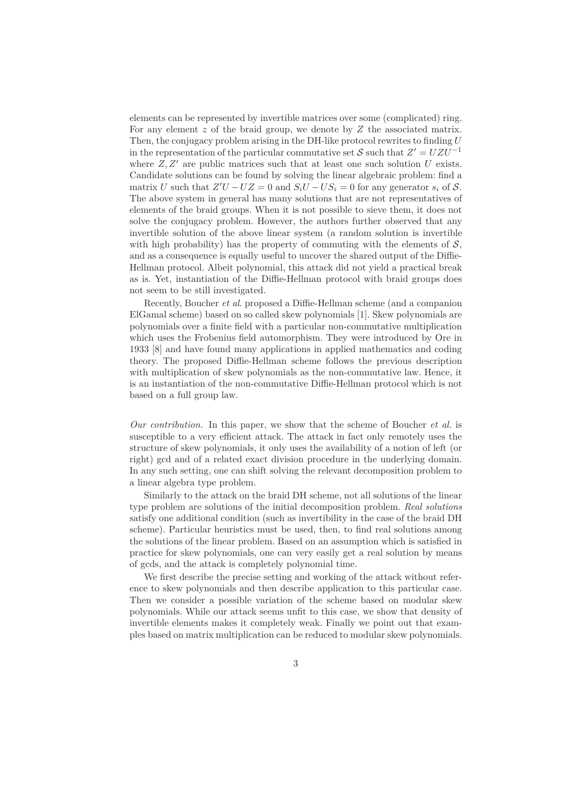elements can be represented by invertible matrices over some (complicated) ring. For any element *z* of the braid group, we denote by *Z* the associated matrix. Then, the conjugacy problem arising in the DH-like protocol rewrites to finding *U* in the representation of the particular commutative set *S* such that  $Z' = UZU^{-1}$ where *Z, Z′* are public matrices such that at least one such solution *U* exists. Candidate solutions can be found by solving the linear algebraic problem: find a matrix *U* such that  $Z'U - UZ = 0$  and  $S_iU - US_i = 0$  for any generator  $s_i$  of *S*. The above system in general has many solutions that are not representatives of elements of the braid groups. When it is not possible to sieve them, it does not solve the conjugacy problem. However, the authors further observed that any invertible solution of the above linear system (a random solution is invertible with high probability) has the property of commuting with the elements of  $S$ , and as a consequence is equally useful to uncover the shared output of the Diffie-Hellman protocol. Albeit polynomial, this attack did not yield a practical break as is. Yet, instantiation of the Diffie-Hellman protocol with braid groups does not seem to be still investigated.

Recently, Boucher *et al*. proposed a Diffie-Hellman scheme (and a companion ElGamal scheme) based on so called skew polynomials [1]. Skew polynomials are polynomials over a finite field with a particular non-commutative multiplication which uses the Frobenius field automorphism. They were introduced by Ore in 1933 [8] and have found many applications in applied mathematics and coding theory. The proposed Diffie-Hellman scheme follows the previous description with multiplication of skew polynomials as the non-commutative law. Hence, it is an instantiation of the non-commutative Diffie-Hellman protocol which is not based on a full group law.

*Our contribution.* In this paper, we show that the scheme of Boucher *et al.* is susceptible to a very efficient attack. The attack in fact only remotely uses the structure of skew polynomials, it only uses the availability of a notion of left (or right) gcd and of a related exact division procedure in the underlying domain. In any such setting, one can shift solving the relevant decomposition problem to a linear algebra type problem.

Similarly to the attack on the braid DH scheme, not all solutions of the linear type problem are solutions of the initial decomposition problem. *Real solutions* satisfy one additional condition (such as invertibility in the case of the braid DH scheme). Particular heuristics must be used, then, to find real solutions among the solutions of the linear problem. Based on an assumption which is satisfied in practice for skew polynomials, one can very easily get a real solution by means of gcds, and the attack is completely polynomial time.

We first describe the precise setting and working of the attack without reference to skew polynomials and then describe application to this particular case. Then we consider a possible variation of the scheme based on modular skew polynomials. While our attack seems unfit to this case, we show that density of invertible elements makes it completely weak. Finally we point out that examples based on matrix multiplication can be reduced to modular skew polynomials.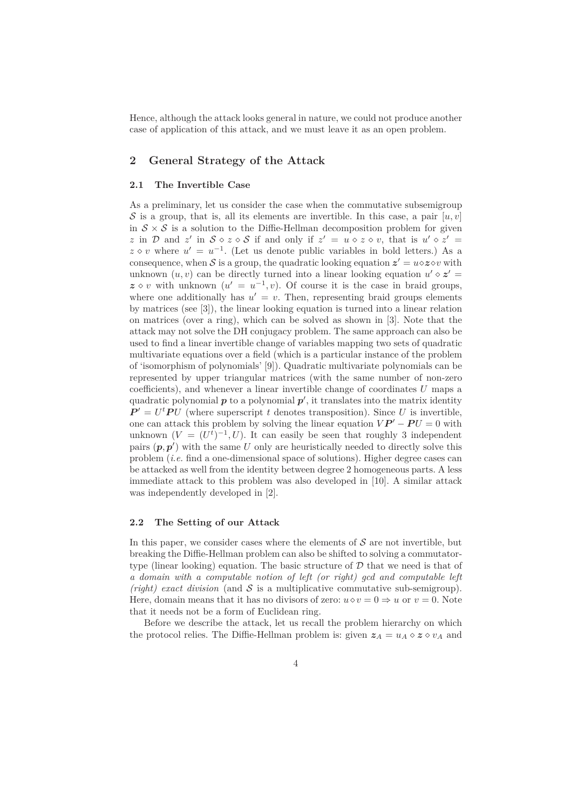Hence, although the attack looks general in nature, we could not produce another case of application of this attack, and we must leave it as an open problem.

# **2 General Strategy of the Attack**

### **2.1 The Invertible Case**

As a preliminary, let us consider the case when the commutative subsemigroup S is a group, that is, all its elements are invertible. In this case, a pair  $[u, v]$ in  $S \times S$  is a solution to the Diffie-Hellman decomposition problem for given *z* in *D* and *z'* in  $S \diamond z \diamond S$  if and only if  $z' = u \diamond z \diamond v$ , that is  $u' \diamond z' =$  $z \diamond v$  where  $u' = u^{-1}$ . (Let us denote public variables in bold letters.) As a consequence, when *S* is a group, the quadratic looking equation  $z' = u \circ z \circ v$  with unknown  $(u, v)$  can be directly turned into a linear looking equation  $u' \diamond z' =$  $z \diamond v$  with unknown  $(u' = u^{-1}, v)$ . Of course it is the case in braid groups, where one additionally has  $u' = v$ . Then, representing braid groups elements by matrices (see [3]), the linear looking equation is turned into a linear relation on matrices (over a ring), which can be solved as shown in [3]. Note that the attack may not solve the DH conjugacy problem. The same approach can also be used to find a linear invertible change of variables mapping two sets of quadratic multivariate equations over a field (which is a particular instance of the problem of 'isomorphism of polynomials' [9]). Quadratic multivariate polynomials can be represented by upper triangular matrices (with the same number of non-zero coefficients), and whenever a linear invertible change of coordinates *U* maps a quadratic polynomial  $p$  to a polynomial  $p'$ , it translates into the matrix identity  $P' = U^t P U$  (where superscript *t* denotes transposition). Since *U* is invertible, one can attack this problem by solving the linear equation  $VP' - PU = 0$  with unknown  $(V = (U^t)^{-1}, U)$ . It can easily be seen that roughly 3 independent pairs  $(p, p')$  with the same U only are heuristically needed to directly solve this problem (*i.e.* find a one-dimensional space of solutions). Higher degree cases can be attacked as well from the identity between degree 2 homogeneous parts. A less immediate attack to this problem was also developed in [10]. A similar attack was independently developed in [2].

### **2.2 The Setting of our Attack**

In this paper, we consider cases where the elements of *S* are not invertible, but breaking the Diffie-Hellman problem can also be shifted to solving a commutatortype (linear looking) equation. The basic structure of *D* that we need is that of *a domain with a computable notion of left (or right) gcd and computable left*  $(right)$  exact division (and  $S$  is a multiplicative commutative sub-semigroup). Here, domain means that it has no divisors of zero:  $u \diamond v = 0 \Rightarrow u$  or  $v = 0$ . Note that it needs not be a form of Euclidean ring.

Before we describe the attack, let us recall the problem hierarchy on which the protocol relies. The Diffie-Hellman problem is: given  $z_A = u_A \diamond z \diamond v_A$  and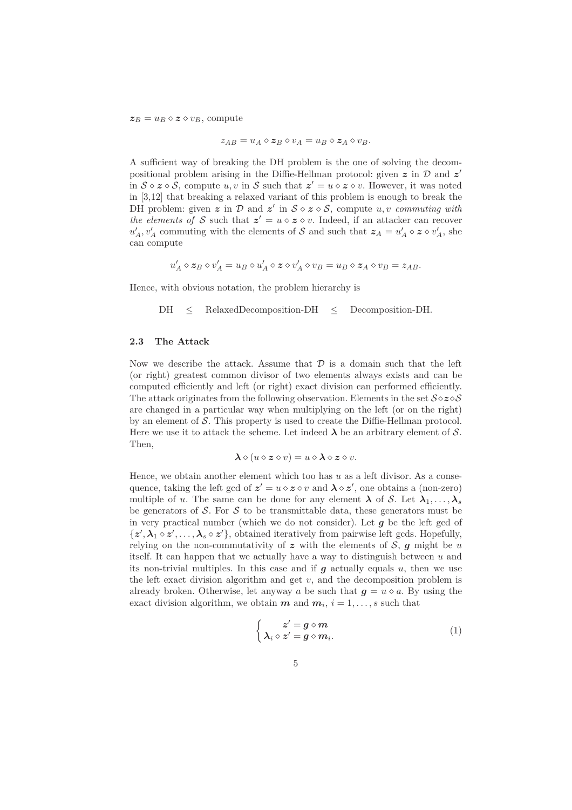$z_B = u_B \diamond z \diamond v_B$ , compute

$$
z_{AB} = u_A \diamond z_B \diamond v_A = u_B \diamond z_A \diamond v_B.
$$

A sufficient way of breaking the DH problem is the one of solving the decompositional problem arising in the Diffie-Hellman protocol: given z in  $D$  and z' in  $S \diamond z \diamond S$ , compute *u*, *v* in *S* such that  $z' = u \diamond z \diamond v$ . However, it was noted in [3,12] that breaking a relaxed variant of this problem is enough to break the DH problem: given  $\boldsymbol{z}$  in  $\mathcal D$  and  $\boldsymbol{z}'$  in  $\mathcal S \diamond \boldsymbol{z} \diamond \mathcal S$ , compute  $u, v$  *commuting with the elements of S* such that  $z' = u \diamond z \diamond v$ . Indeed, if an attacker can recover *u*<sup>'</sup><sub>*A*</sub>, *v*<sup>'</sup><sub>*A*</sub> commuting with the elements of *S* and such that  $z_A = u'_A \circ z \circ v'_A$ , she can compute

$$
u_A' \diamond z_B\diamond v_A' = u_B\diamond u_A' \diamond z \diamond v_A' \diamond v_B = u_B \diamond z_A \diamond v_B = z_{AB}.
$$

Hence, with obvious notation, the problem hierarchy is

DH *≤* RelaxedDecomposition-DH *≤* Decomposition-DH*.*

### **2.3 The Attack**

Now we describe the attack. Assume that  $D$  is a domain such that the left (or right) greatest common divisor of two elements always exists and can be computed efficiently and left (or right) exact division can performed efficiently. The attack originates from the following observation. Elements in the set *S ⋄*z*⋄S* are changed in a particular way when multiplying on the left (or on the right) by an element of *S*. This property is used to create the Diffie-Hellman protocol. Here we use it to attack the scheme. Let indeed  $\lambda$  be an arbitrary element of S. Then,

$$
\lambda \diamond (u \diamond z \diamond v) = u \diamond \lambda \diamond z \diamond v.
$$

Hence, we obtain another element which too has *u* as a left divisor. As a consequence, taking the left gcd of  $z' = u \diamond z \diamond v$  and  $\lambda \diamond z'$ , one obtains a (non-zero) multiple of *u*. The same can be done for any element  $\lambda$  of *S*. Let  $\lambda_1, \ldots, \lambda_s$ be generators of  $S$ . For  $S$  to be transmittable data, these generators must be in very practical number (which we do not consider). Let  $g$  be the left gcd of  $\{z', \lambda_1 \diamond z', \ldots, \lambda_s \diamond z'\}$ , obtained iteratively from pairwise left gcds. Hopefully, relying on the non-commutativity of  $z$  with the elements of  $S$ ,  $g$  might be  $u$ itself. It can happen that we actually have a way to distinguish between *u* and its non-trivial multiples. In this case and if  $g$  actually equals  $u$ , then we use the left exact division algorithm and get  $v$ , and the decomposition problem is already broken. Otherwise, let anyway *a* be such that  $g = u \diamond a$ . By using the exact division algorithm, we obtain  $m$  and  $m_i$ ,  $i = 1, \ldots, s$  such that

$$
\begin{cases}\nz' = g \diamond m \\
\lambda_i \diamond z' = g \diamond m_i.\n\end{cases} \n\tag{1}
$$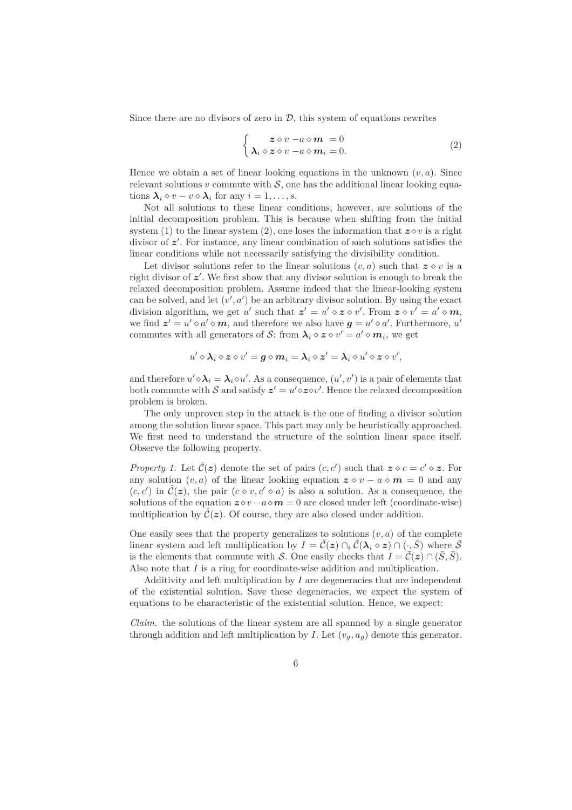Since there are no divisors of zero in  $D$ , this system of equations rewrites

$$
\begin{cases}\n z \diamond v - a \diamond m = 0 \\
 \lambda_i \diamond z \diamond v - a \diamond m_i = 0.\n\end{cases} (2)
$$

Hence we obtain a set of linear looking equations in the unknown  $(v, a)$ . Since relevant solutions  $v$  commute with  $S$ , one has the additional linear looking equations  $\lambda_i \diamond v - v \diamond \lambda_i$  for any  $i = 1, \ldots, s$ .

Not all solutions to these linear conditions, however, are solutions of the initial decomposition problem. This is because when shifting from the initial system (1) to the linear system (2), one loses the information that  $z \diamond v$  is a right divisor of  $z'$ . For instance, any linear combination of such solutions satisfies the linear conditions while not necessarily satisfying the divisibility condition.

Let divisor solutions refer to the linear solutions  $(v, a)$  such that  $z \diamond v$  is a right divisor of z *′* . We first show that any divisor solution is enough to break the relaxed decomposition problem. Assume indeed that the linear-looking system can be solved, and let  $(v', a')$  be an arbitrary divisor solution. By using the exact division algorithm, we get *u'* such that  $z' = u' \diamond z \diamond v'$ . From  $z \diamond v' = a' \diamond m$ , we find  $z' = u' \diamond a' \diamond m$ , and therefore we also have  $g = u' \diamond a'$ . Furthermore,  $u'$ commutes with all generators of *S*: from  $\lambda_i \diamond z \diamond v' = a' \diamond m_i$ , we get

$$
u' \diamond \lambda_i \diamond z \diamond v' = \mathbf{g} \diamond \mathbf{m}_i = \lambda_i \diamond z' = \lambda_i \diamond u' \diamond z \diamond v',
$$

and therefore  $u' \diamond \lambda_i = \lambda_i \diamond u'$ . As a consequence,  $(u', v')$  is a pair of elements that both commute with  $S$  and satisfy  $z' = u' \circ z \circ v'$ . Hence the relaxed decomposition problem is broken.

The only unproven step in the attack is the one of finding a divisor solution among the solution linear space. This part may only be heuristically approached. We first need to understand the structure of the solution linear space itself. Observe the following property.

*Property 1.* Let  $\tilde{C}(z)$  denote the set of pairs  $(c, c')$  such that  $z \diamond c = c' \diamond z$ . For any solution  $(v, a)$  of the linear looking equation  $z \diamond v - a \diamond m = 0$  and any  $(c, c')$  in  $\tilde{C}(z)$ , the pair  $(c \diamond v, c' \diamond a)$  is also a solution. As a consequence, the solutions of the equation  $z \diamond v - a \diamond m = 0$  are closed under left (coordinate-wise) multiplication by  $\tilde{\mathcal{C}}(z)$ . Of course, they are also closed under addition.

One easily sees that the property generalizes to solutions  $(v, a)$  of the complete linear system and left multiplication by  $I = \tilde{C}(z) \cap_i \tilde{C}(\lambda_i \diamond z) \cap (\cdot, \bar{S})$  where  $\bar{S}$ is the elements that commute with *S*. One easily checks that  $I = \tilde{C}(z) \cap (\bar{S}, \bar{S})$ . Also note that *I* is a ring for coordinate-wise addition and multiplication.

Additivity and left multiplication by *I* are degeneracies that are independent of the existential solution. Save these degeneracies, we expect the system of equations to be characteristic of the existential solution. Hence, we expect:

*Claim.* the solutions of the linear system are all spanned by a single generator through addition and left multiplication by *I*. Let  $(v_q, a_q)$  denote this generator.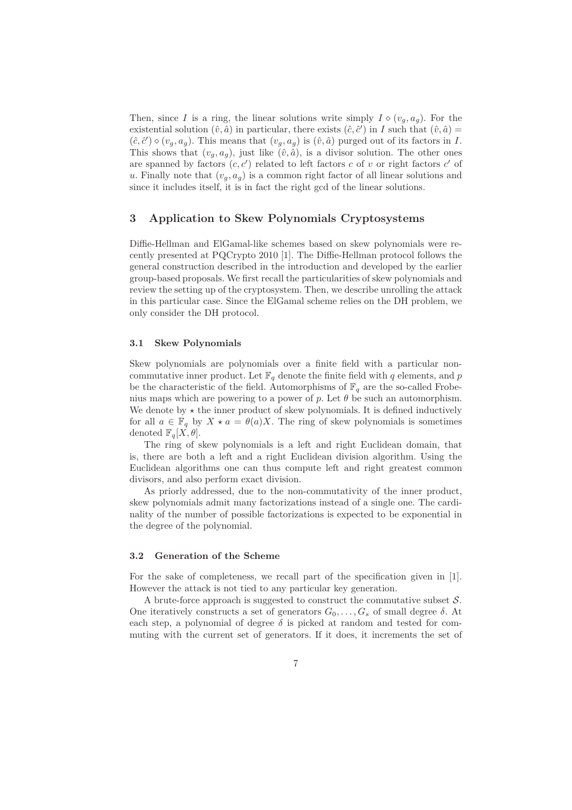Then, since *I* is a ring, the linear solutions write simply  $I \diamond (v_g, a_g)$ . For the existential solution  $(\hat{v}, \hat{a})$  in particular, there exists  $(\hat{c}, \hat{c}')$  in *I* such that  $(\hat{v}, \hat{a})$  =  $(\hat{c}, \hat{c}') \diamond (v_g, a_g)$ . This means that  $(v_g, a_g)$  is  $(\hat{v}, \hat{a})$  purged out of its factors in *I*. This shows that  $(v_g, a_g)$ , just like  $(\hat{v}, \hat{a})$ , is a divisor solution. The other ones are spanned by factors  $(c, c')$  related to left factors  $c$  of  $v$  or right factors  $c'$  of *u*. Finally note that  $(v_q, a_q)$  is a common right factor of all linear solutions and since it includes itself, it is in fact the right gcd of the linear solutions.

# **3 Application to Skew Polynomials Cryptosystems**

Diffie-Hellman and ElGamal-like schemes based on skew polynomials were recently presented at PQCrypto 2010 [1]. The Diffie-Hellman protocol follows the general construction described in the introduction and developed by the earlier group-based proposals. We first recall the particularities of skew polynomials and review the setting up of the cryptosystem. Then, we describe unrolling the attack in this particular case. Since the ElGamal scheme relies on the DH problem, we only consider the DH protocol.

### **3.1 Skew Polynomials**

Skew polynomials are polynomials over a finite field with a particular noncommutative inner product. Let  $\mathbb{F}_q$  denote the finite field with *q* elements, and *p* be the characteristic of the field. Automorphisms of  $\mathbb{F}_q$  are the so-called Frobenius maps which are powering to a power of  $p$ . Let  $\theta$  be such an automorphism. We denote by  $\star$  the inner product of skew polynomials. It is defined inductively for all  $a \in \mathbb{F}_q$  by  $X \star a = \theta(a)X$ . The ring of skew polynomials is sometimes denoted  $\mathbb{F}_q[X,\theta].$ 

The ring of skew polynomials is a left and right Euclidean domain, that is, there are both a left and a right Euclidean division algorithm. Using the Euclidean algorithms one can thus compute left and right greatest common divisors, and also perform exact division.

As priorly addressed, due to the non-commutativity of the inner product, skew polynomials admit many factorizations instead of a single one. The cardinality of the number of possible factorizations is expected to be exponential in the degree of the polynomial.

# **3.2 Generation of the Scheme**

For the sake of completeness, we recall part of the specification given in [1]. However the attack is not tied to any particular key generation.

A brute-force approach is suggested to construct the commutative subset *S*. One iteratively constructs a set of generators  $G_0, \ldots, G_s$  of small degree δ. At each step, a polynomial of degree  $\delta$  is picked at random and tested for commuting with the current set of generators. If it does, it increments the set of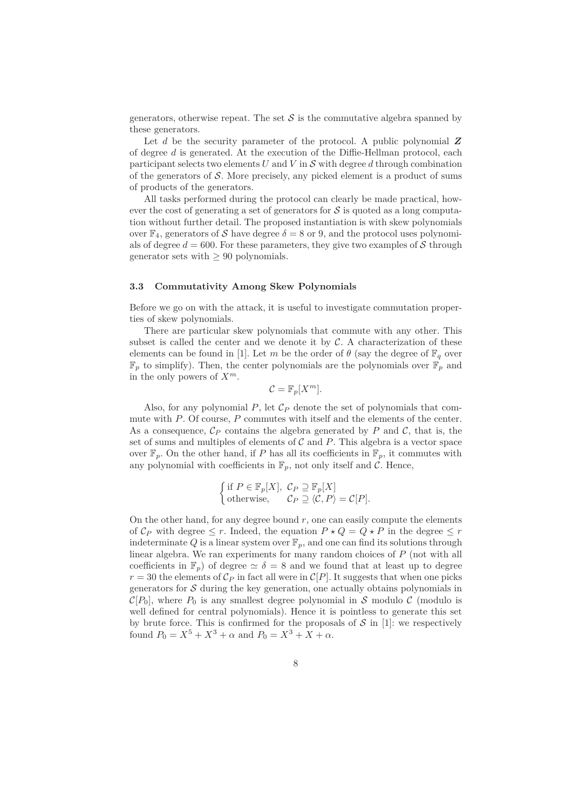generators, otherwise repeat. The set  $S$  is the commutative algebra spanned by these generators.

Let *d* be the security parameter of the protocol. A public polynomial  $Z$ of degree *d* is generated. At the execution of the Diffie-Hellman protocol, each participant selects two elements *U* and *V* in *S* with degree *d* through combination of the generators of *S*. More precisely, any picked element is a product of sums of products of the generators.

All tasks performed during the protocol can clearly be made practical, however the cost of generating a set of generators for *S* is quoted as a long computation without further detail. The proposed instantiation is with skew polynomials over  $\mathbb{F}_4$ , generators of *S* have degree  $\delta = 8$  or 9, and the protocol uses polynomials of degree  $d = 600$ . For these parameters, they give two examples of S through generator sets with  $\geq 90$  polynomials.

### **3.3 Commutativity Among Skew Polynomials**

Before we go on with the attack, it is useful to investigate commutation properties of skew polynomials.

There are particular skew polynomials that commute with any other. This subset is called the center and we denote it by  $C$ . A characterization of these elements can be found in [1]. Let *m* be the order of  $\theta$  (say the degree of  $\mathbb{F}_q$  over  $\mathbb{F}_p$  to simplify). Then, the center polynomials are the polynomials over  $\mathbb{F}_p$  and in the only powers of  $X^m$ .

$$
\mathcal{C} = \mathbb{F}_p[X^m].
$$

Also, for any polynomial  $P$ , let  $\mathcal{C}_P$  denote the set of polynomials that commute with *P*. Of course, *P* commutes with itself and the elements of the center. As a consequence,  $C_P$  contains the algebra generated by  $P$  and  $C$ , that is, the set of sums and multiples of elements of  $C$  and  $P$ . This algebra is a vector space over  $\mathbb{F}_p$ . On the other hand, if *P* has all its coefficients in  $\mathbb{F}_p$ , it commutes with any polynomial with coefficients in  $\mathbb{F}_p$ , not only itself and *C*. Hence,

$$
\begin{cases} \text{if } P \in \mathbb{F}_p[X], \ C_P \supseteq \mathbb{F}_p[X] \\ \text{otherwise}, \quad C_P \supseteq \langle \mathcal{C}, P \rangle = \mathcal{C}[P]. \end{cases}
$$

On the other hand, for any degree bound  $r$ , one can easily compute the elements of  $\mathcal{C}_P$  with degree  $\leq r$ . Indeed, the equation  $P \star Q = Q \star P$  in the degree  $\leq r$ indeterminate  $Q$  is a linear system over  $\mathbb{F}_p$ , and one can find its solutions through linear algebra. We ran experiments for many random choices of *P* (not with all coefficients in  $\mathbb{F}_p$ ) of degree  $\approx \delta = 8$  and we found that at least up to degree  $r = 30$  the elements of  $C_P$  in fact all were in  $C[P]$ . It suggests that when one picks generators for *S* during the key generation, one actually obtains polynomials in  $\mathcal{C}[P_0]$ , where  $P_0$  is any smallest degree polynomial in *S* modulo *C* (modulo is well defined for central polynomials). Hence it is pointless to generate this set by brute force. This is confirmed for the proposals of  $S$  in [1]: we respectively found  $P_0 = X^5 + X^3 + \alpha$  and  $P_0 = X^3 + X + \alpha$ .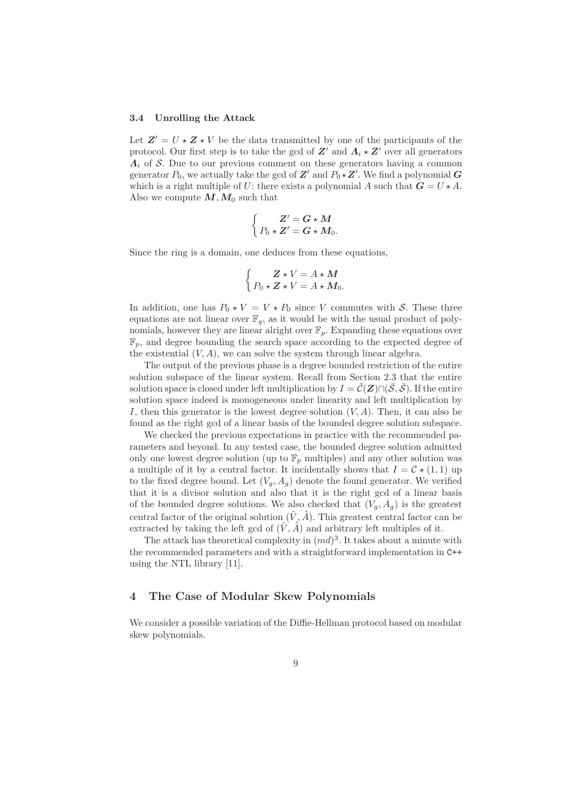#### **3.4 Unrolling the Attack**

Let  $\mathbf{Z}' = U \star \mathbf{Z} \star V$  be the data transmitted by one of the participants of the protocol. Our first step is to take the gcd of  $Z'$  and  $\Lambda_i \star Z'$  over all generators Λ*<sup>i</sup>* of *S*. Due to our previous comment on these generators having a common generator  $P_0$ , we actually take the gcd of  $\mathbf{Z}'$  and  $P_0 \star \mathbf{Z}'$ . We find a polynomial  $\mathbf{G}$ which is a right multiple of *U*: there exists a polynomial *A* such that  $G = U \star A$ . Also we compute  $M, M_0$  such that

$$
\begin{cases}\nZ' = G \star M \\
P_0 \star Z' = G \star M_0.\n\end{cases}
$$

Since the ring is a domain, one deduces from these equations,

$$
\begin{cases}\nZ \star V = A \star M \\
P_0 \star Z \star V = A \star M_0.\n\end{cases}
$$

In addition, one has  $P_0 \star V = V \star P_0$  since *V* commutes with *S*. These three equations are not linear over  $\mathbb{F}_q$ , as it would be with the usual product of polynomials, however they are linear alright over  $\mathbb{F}_p$ . Expanding these equations over  $\mathbb{F}_p$ , and degree bounding the search space according to the expected degree of the existential  $(V, A)$ , we can solve the system through linear algebra.

The output of the previous phase is a degree bounded restriction of the entire solution subspace of the linear system. Recall from Section 2.3 that the entire solution space is closed under left multiplication by  $I = \mathcal{C}(\mathbf{Z}) \cap (\bar{S}, \bar{S})$ . If the entire solution space indeed is monogeneous under linearity and left multiplication by *I*, then this generator is the lowest degree solution (*V, A*). Then, it can also be found as the right gcd of a linear basis of the bounded degree solution subspace.

We checked the previous expectations in practice with the recommended parameters and beyond. In any tested case, the bounded degree solution admitted only one lowest degree solution (up to  $\mathbb{F}_p$  multiples) and any other solution was a multiple of it by a central factor. It incidentally shows that  $I = \mathcal{C} \star (1,1)$  up to the fixed degree bound. Let  $(V_g, A_g)$  denote the found generator. We verified that it is a divisor solution and also that it is the right gcd of a linear basis of the bounded degree solutions. We also checked that  $(V_q, A_q)$  is the greatest central factor of the original solution  $(\hat{V}, \hat{A})$ . This greatest central factor can be extracted by taking the left gcd of  $(\hat{V}, \hat{A})$  and arbitrary left multiples of it.

The attack has theoretical complexity in (*md*) 3 . It takes about a minute with the recommended parameters and with a straightforward implementation in C++ using the NTL library [11].

# **4 The Case of Modular Skew Polynomials**

We consider a possible variation of the Diffie-Hellman protocol based on modular skew polynomials.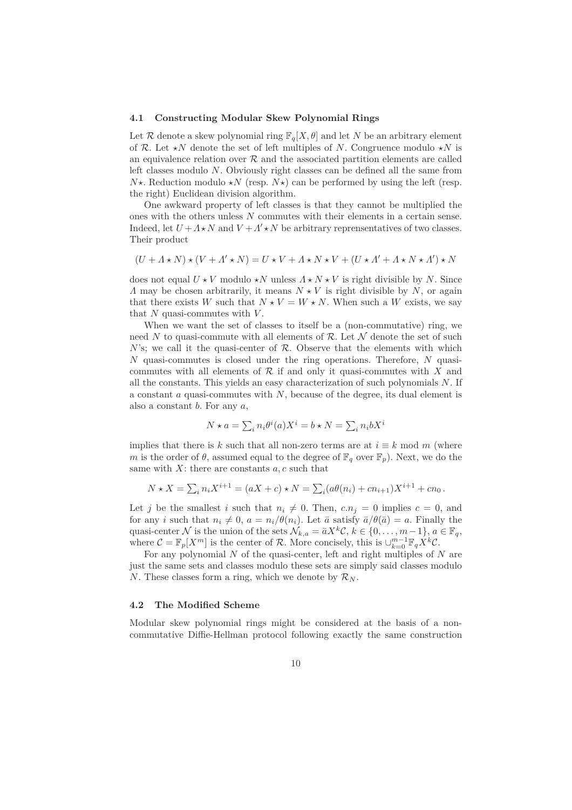#### **4.1 Constructing Modular Skew Polynomial Rings**

Let *R* denote a skew polynomial ring  $\mathbb{F}_q[X, \theta]$  and let *N* be an arbitrary element of *R*. Let  $\star N$  denote the set of left multiples of *N*. Congruence modulo  $\star N$  is an equivalence relation over  $R$  and the associated partition elements are called left classes modulo *N*. Obviously right classes can be defined all the same from *N*<sup>★</sup>. Reduction modulo  $\star N$  (resp. *N*<sup>★</sup>) can be performed by using the left (resp. the right) Euclidean division algorithm.

One awkward property of left classes is that they cannot be multiplied the ones with the others unless *N* commutes with their elements in a certain sense. Indeed, let  $U + \Lambda \star N$  and  $V + \Lambda' \star N$  be arbitrary reprensentatives of two classes. Their product

$$
(U + A \star N) \star (V + A' \star N) = U \star V + A \star N \star V + (U \star A' + A \star N \star A') \star N
$$

does not equal *U ⋆ V* modulo *⋆N* unless *Λ ⋆ N ⋆ V* is right divisible by *N*. Since *Λ* may be chosen arbitrarily, it means *N ⋆ V* is right divisible by *N*, or again that there exists *W* such that  $N * V = W * N$ . When such a *W* exists, we say that *N* quasi-commutes with *V* .

When we want the set of classes to itself be a (non-commutative) ring, we need N to quasi-commute with all elements of  $\mathcal{R}$ . Let  $\mathcal N$  denote the set of such *N*'s; we call it the quasi-center of  $\mathcal{R}$ . Observe that the elements with which *N* quasi-commutes is closed under the ring operations. Therefore, *N* quasicommutes with all elements of  $R$  if and only it quasi-commutes with  $X$  and all the constants. This yields an easy characterization of such polynomials *N*. If a constant *a* quasi-commutes with *N*, because of the degree, its dual element is also a constant *b*. For any *a*,

$$
N \star a = \sum_{i} n_i \theta^i(a) X^i = b \star N = \sum_{i} n_i b X^i
$$

implies that there is *k* such that all non-zero terms are at  $i \equiv k \mod m$  (where *m* is the order of  $\theta$ , assumed equal to the degree of  $\mathbb{F}_q$  over  $\mathbb{F}_p$ ). Next, we do the same with *X*: there are constants *a, c* such that

$$
N \star X = \sum_{i} n_i X^{i+1} = (aX + c) \star N = \sum_{i} (a\theta(n_i) + cn_{i+1})X^{i+1} + cn_0.
$$

Let *j* be the smallest *i* such that  $n_i \neq 0$ . Then,  $c.n_j = 0$  implies  $c = 0$ , and for any *i* such that  $n_i \neq 0$ ,  $a = n_i/\theta(n_i)$ . Let  $\bar{a}$  satisfy  $\bar{a}/\theta(\bar{a}) = a$ . Finally the quasi-center *N* is the union of the sets  $\mathcal{N}_{k,a} = \bar{a}X^k\mathcal{C}, k \in \{0, \ldots, m-1\}, a \in \mathbb{F}_q$ , where  $C = \mathbb{F}_p[X^m]$  is the center of *R*. More concisely, this is  $\bigcup_{k=0}^{m-1} \mathbb{F}_q X^k C$ .

For any polynomial *N* of the quasi-center, left and right multiples of *N* are just the same sets and classes modulo these sets are simply said classes modulo *N*. These classes form a ring, which we denote by  $\mathcal{R}_N$ .

# **4.2 The Modified Scheme**

Modular skew polynomial rings might be considered at the basis of a noncommutative Diffie-Hellman protocol following exactly the same construction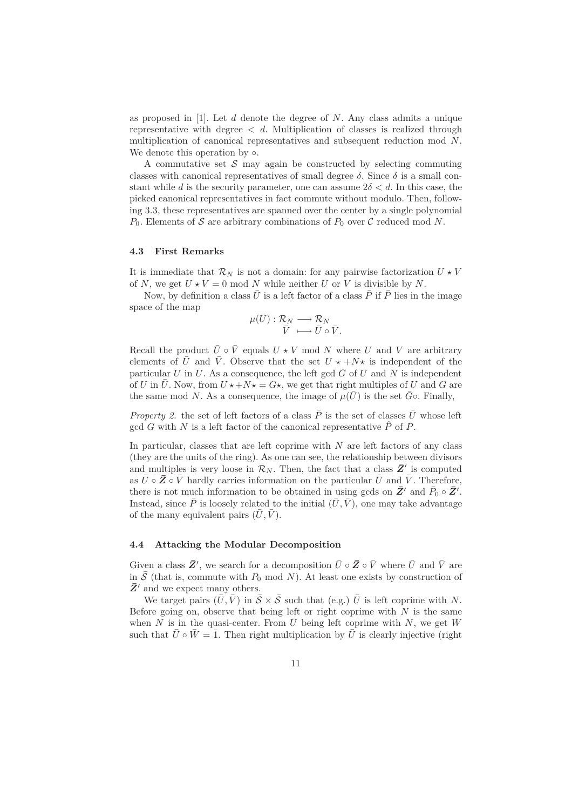as proposed in [1]. Let *d* denote the degree of *N*. Any class admits a unique representative with degree *< d*. Multiplication of classes is realized through multiplication of canonical representatives and subsequent reduction mod *N*. We denote this operation by *◦*.

A commutative set *S* may again be constructed by selecting commuting classes with canonical representatives of small degree *δ*. Since *δ* is a small constant while *d* is the security parameter, one can assume  $2\delta < d$ . In this case, the picked canonical representatives in fact commute without modulo. Then, following 3.3, these representatives are spanned over the center by a single polynomial  $P_0$ . Elements of *S* are arbitrary combinations of  $P_0$  over *C* reduced mod *N*.

### **4.3 First Remarks**

It is immediate that  $\mathcal{R}_N$  is not a domain: for any pairwise factorization  $U \star V$ of *N*, we get  $U \star V = 0$  mod *N* while neither *U* or *V* is divisible by *N*.

Now, by definition a class  $\bar{U}$  is a left factor of a class  $\bar{P}$  if  $\bar{P}$  lies in the image space of the map

$$
\mu(\bar{U}): \mathcal{R}_N \longrightarrow \mathcal{R}_N \bar{V} \longmapsto \bar{U} \circ \bar{V}.
$$

Recall the product  $\bar{U} \circ \bar{V}$  equals  $U \star V \mod N$  where *U* and *V* are arbitrary elements of  $\bar{U}$  and  $\bar{V}$ . Observe that the set  $U \star +N \star$  is independent of the particular *U* in  $\overline{U}$ . As a consequence, the left gcd *G* of *U* and *N* is independent of *U* in  $\overline{U}$ . Now, from  $U \star + N \star = G \star$ , we get that right multiples of *U* and *G* are the same mod *N*. As a consequence, the image of  $\mu(U)$  is the set *G* $\circ$ . Finally,

*Property 2.* the set of left factors of a class  $\overline{P}$  is the set of classes  $\overline{U}$  whose left gcd *G* with *N* is a left factor of the canonical representative  $\hat{P}$  of  $\overline{P}$ .

In particular, classes that are left coprime with *N* are left factors of any class (they are the units of the ring). As one can see, the relationship between divisors and multiples is very loose in  $\mathcal{R}_N$ . Then, the fact that a class  $\bar{Z}'$  is computed as  $\bar{U} \circ \bar{Z} \circ \bar{V}$  hardly carries information on the particular  $\bar{U}$  and  $\bar{V}$ . Therefore, there is not much information to be obtained in using gcds on  $\bar{Z}'$  and  $\bar{P}_0 \circ \bar{Z}'$ . Instead, since  $\overline{P}$  is loosely related to the initial  $(\overline{U}, \overline{V})$ , one may take advantage of the many equivalent pairs  $(\bar{U}, \bar{V})$ .

### **4.4 Attacking the Modular Decomposition**

Given a class  $\bar{Z}'$ , we search for a decomposition  $\bar{U} \circ \bar{Z} \circ \bar{V}$  where  $\bar{U}$  and  $\bar{V}$  are in  $\overline{S}$  (that is, commute with  $P_0$  mod *N*). At least one exists by construction of  $\bar{Z}^{\prime}$  and we expect many others.

We target pairs  $(\bar{U}, \bar{V})$  in  $\bar{S} \times \bar{S}$  such that (e.g.)  $\bar{U}$  is left coprime with N. Before going on, observe that being left or right coprime with  $N$  is the same when *N* is in the quasi-center. From *U* being left coprime with *N*, we get *W* such that  $U \circ W = \overline{1}$ . Then right multiplication by *U* is clearly injective (right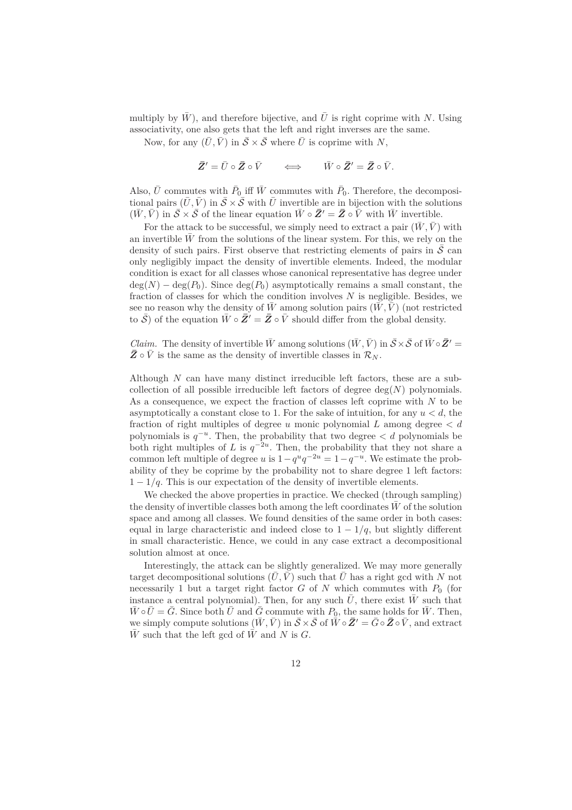multiply by  $\bar{W}$ ), and therefore bijective, and  $\bar{U}$  is right coprime with *N*. Using associativity, one also gets that the left and right inverses are the same.

Now, for any  $(\bar{U}, \bar{V})$  in  $\bar{S} \times \bar{S}$  where  $\bar{U}$  is coprime with *N*,

$$
\bar{Z}' = \bar{U} \circ \bar{Z} \circ \bar{V} \qquad \Longleftrightarrow \qquad \bar{W} \circ \bar{Z}' = \bar{Z} \circ \bar{V}.
$$

Also,  $\bar{U}$  commutes with  $\bar{P}_0$  iff  $\bar{W}$  commutes with  $\bar{P}_0$ . Therefore, the decompositional pairs  $(\bar{U}, \bar{V})$  in  $\bar{S} \times \bar{S}$  with  $\bar{U}$  invertible are in bijection with the solutions  $(\bar{W}, \bar{V})$  in  $\bar{S} \times \bar{S}$  of the linear equation  $\bar{W} \circ \bar{Z}' = \bar{Z} \circ \bar{V}$  with  $\bar{W}$  invertible.

For the attack to be successful, we simply need to extract a pair  $(\bar{W}, \bar{V})$  with an invertible  $\bar{W}$  from the solutions of the linear system. For this, we rely on the density of such pairs. First observe that restricting elements of pairs in  $\overline{S}$  can only negligibly impact the density of invertible elements. Indeed, the modular condition is exact for all classes whose canonical representative has degree under  $deg(N) - deg(P_0)$ . Since  $deg(P_0)$  asymptotically remains a small constant, the fraction of classes for which the condition involves *N* is negligible. Besides, we see no reason why the density of  $\bar{W}$  among solution pairs  $(\bar{W}, \bar{V})$  (not restricted to  $\bar{S}$ ) of the equation  $\bar{W} \circ \bar{Z}' = \bar{Z} \circ \bar{V}$  should differ from the global density.

*Claim.* The density of invertible  $\bar{W}$  among solutions  $(\bar{W}, \bar{V})$  in  $\bar{S} \times \bar{S}$  of  $\bar{W} \circ \bar{Z}' =$  $\bar{Z} \circ V$  is the same as the density of invertible classes in  $\mathcal{R}_N$ .

Although *N* can have many distinct irreducible left factors, these are a subcollection of all possible irreducible left factors of degree  $\deg(N)$  polynomials. As a consequence, we expect the fraction of classes left coprime with *N* to be asymptotically a constant close to 1. For the sake of intuition, for any  $u < d$ , the fraction of right multiples of degree *u* monic polynomial *L* among degree *< d* polynomials is  $q^{-u}$ . Then, the probability that two degree  $\lt d$  polynomials be both right multiples of *L* is  $q^{-2u}$ . Then, the probability that they not share a common left multiple of degree *u* is  $1 - q^u q^{-2u} = 1 - q^{-u}$ . We estimate the probability of they be coprime by the probability not to share degree 1 left factors: 1 *−* 1*/q*. This is our expectation of the density of invertible elements.

We checked the above properties in practice. We checked (through sampling) the density of invertible classes both among the left coordinates  $W$  of the solution space and among all classes. We found densities of the same order in both cases: equal in large characteristic and indeed close to  $1 - \frac{1}{q}$ , but slightly different in small characteristic. Hence, we could in any case extract a decompositional solution almost at once.

Interestingly, the attack can be slightly generalized. We may more generally target decompositional solutions  $(U, V)$  such that *U* has a right gcd with *N* not necessarily 1 but a target right factor *G* of *N* which commutes with  $P_0$  (for instance a central polynomial). Then, for any such  $\bar{U}$ , there exist  $\bar{W}$  such that  $\bar{W} \circ \bar{U} = \bar{G}$ . Since both  $\bar{U}$  and  $\bar{G}$  commute with  $P_0$ , the same holds for  $\bar{W}$ . Then, we simply compute solutions  $(\bar{W}, \bar{V})$  in  $\bar{S} \times \bar{S}$  of  $\bar{W} \circ \bar{Z}' = \bar{G} \circ \bar{Z} \circ \bar{V}$ , and extract  $\bar{W}$  such that the left gcd of  $\bar{W}$  and *N* is *G*.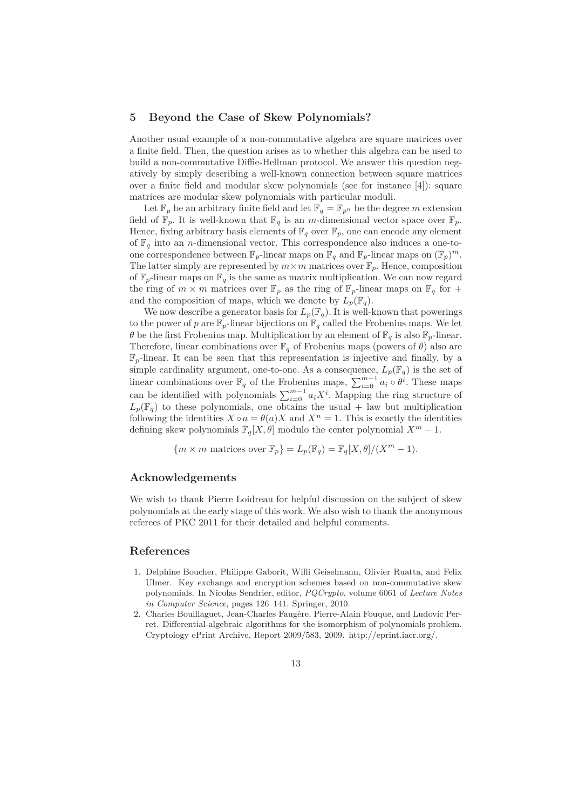# **5 Beyond the Case of Skew Polynomials?**

Another usual example of a non-commutative algebra are square matrices over a finite field. Then, the question arises as to whether this algebra can be used to build a non-commutative Diffie-Hellman protocol. We answer this question negatively by simply describing a well-known connection between square matrices over a finite field and modular skew polynomials (see for instance [4]): square matrices are modular skew polynomials with particular moduli.

Let  $\mathbb{F}_p$  be an arbitrary finite field and let  $\mathbb{F}_q = \mathbb{F}_{p^n}$  be the degree *m* extension field of  $\mathbb{F}_p$ . It is well-known that  $\mathbb{F}_q$  is an *m*-dimensional vector space over  $\mathbb{F}_p$ . Hence, fixing arbitrary basis elements of  $\mathbb{F}_q$  over  $\mathbb{F}_p$ , one can encode any element of  $\mathbb{F}_q$  into an *n*-dimensional vector. This correspondence also induces a one-toone correspondence between  $\mathbb{F}_p$ -linear maps on  $\mathbb{F}_q$  and  $\mathbb{F}_p$ -linear maps on  $(\mathbb{F}_p)^m$ . The latter simply are represented by  $m \times m$  matrices over  $\mathbb{F}_p$ . Hence, composition of  $\mathbb{F}_p$ -linear maps on  $\mathbb{F}_q$  is the same as matrix multiplication. We can now regard the ring of  $m \times m$  matrices over  $\mathbb{F}_p$  as the ring of  $\mathbb{F}_p$ -linear maps on  $\mathbb{F}_q$  for + and the composition of maps, which we denote by  $L_p(\mathbb{F}_q)$ .

We now describe a generator basis for  $L_p(\mathbb{F}_q)$ . It is well-known that powerings to the power of *p* are  $\mathbb{F}_p$ -linear bijections on  $\mathbb{F}_q$  called the Frobenius maps. We let *θ* be the first Frobenius map. Multiplication by an element of  $\mathbb{F}_q$  is also  $\mathbb{F}_p$ -linear. Therefore, linear combinations over  $\mathbb{F}_q$  of Frobenius maps (powers of  $\theta$ ) also are F*p*-linear. It can be seen that this representation is injective and finally, by a simple cardinality argument, one-to-one. As a consequence,  $L_p(\mathbb{F}_q)$  is the set of linear combinations over  $\mathbb{F}_q$  of the Frobenius maps,  $\sum_{i=0}^{m-1} a_i \circ \theta_i^i$ . These maps can be identified with polynomials  $\sum_{i=0}^{m-1} a_i X^i$ . Mapping the ring structure of  $L_p(\mathbb{F}_q)$  to these polynomials, one obtains the usual + law but multiplication following the identities  $X \circ a = \theta(a)X$  and  $X^n = 1$ . This is exactly the identities defining skew polynomials  $\mathbb{F}_q[X, \theta]$  modulo the center polynomial  $X^m - 1$ .

 ${m \times m}$  matrices over  $\mathbb{F}_p$ } =  $L_p(\mathbb{F}_q) = \mathbb{F}_q[X, \theta]/(X^m - 1)$ *.* 

# **Acknowledgements**

We wish to thank Pierre Loidreau for helpful discussion on the subject of skew polynomials at the early stage of this work. We also wish to thank the anonymous referees of PKC 2011 for their detailed and helpful comments.

# **References**

- 1. Delphine Boucher, Philippe Gaborit, Willi Geiselmann, Olivier Ruatta, and Felix Ulmer. Key exchange and encryption schemes based on non-commutative skew polynomials. In Nicolas Sendrier, editor, *PQCrypto*, volume 6061 of *Lecture Notes in Computer Science*, pages 126–141. Springer, 2010.
- 2. Charles Bouillaguet, Jean-Charles Faugère, Pierre-Alain Fouque, and Ludovic Perret. Differential-algebraic algorithms for the isomorphism of polynomials problem. Cryptology ePrint Archive, Report 2009/583, 2009. http://eprint.iacr.org/.